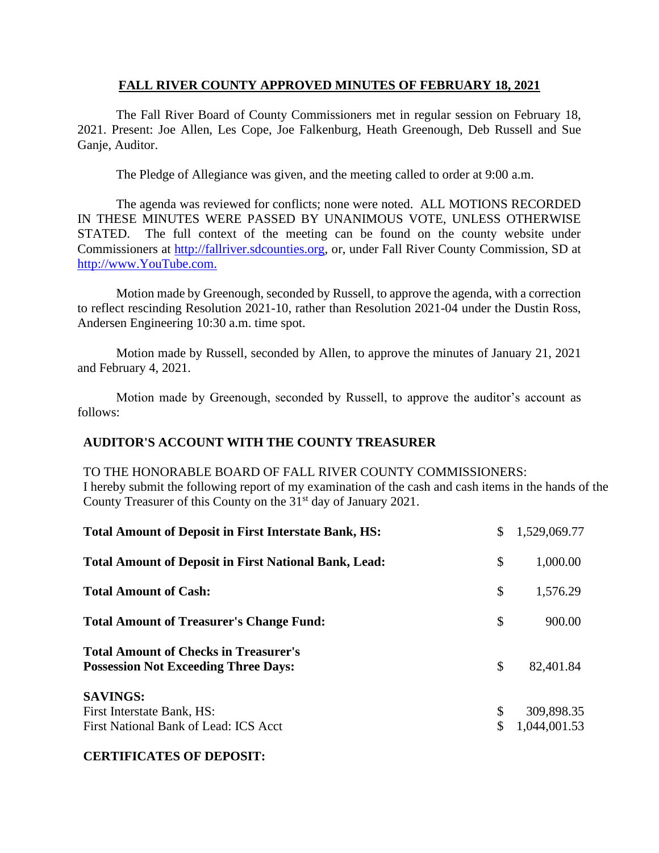## **FALL RIVER COUNTY APPROVED MINUTES OF FEBRUARY 18, 2021**

The Fall River Board of County Commissioners met in regular session on February 18, 2021. Present: Joe Allen, Les Cope, Joe Falkenburg, Heath Greenough, Deb Russell and Sue Ganje, Auditor.

The Pledge of Allegiance was given, and the meeting called to order at 9:00 a.m.

The agenda was reviewed for conflicts; none were noted. ALL MOTIONS RECORDED IN THESE MINUTES WERE PASSED BY UNANIMOUS VOTE, UNLESS OTHERWISE STATED. The full context of the meeting can be found on the county website under Commissioners at [http://fallriver.sdcounties.org,](http://fallriver.sdcounties.org/) or, under Fall River County Commission, SD at [http://www.YouTube.com.](http://www.youtube.com/)

Motion made by Greenough, seconded by Russell, to approve the agenda, with a correction to reflect rescinding Resolution 2021-10, rather than Resolution 2021-04 under the Dustin Ross, Andersen Engineering 10:30 a.m. time spot.

Motion made by Russell, seconded by Allen, to approve the minutes of January 21, 2021 and February 4, 2021.

Motion made by Greenough, seconded by Russell, to approve the auditor's account as follows:

## **AUDITOR'S ACCOUNT WITH THE COUNTY TREASURER**

## TO THE HONORABLE BOARD OF FALL RIVER COUNTY COMMISSIONERS: I hereby submit the following report of my examination of the cash and cash items in the hands of the County Treasurer of this County on the 31<sup>st</sup> day of January 2021.

| <b>Total Amount of Deposit in First Interstate Bank, HS:</b>                                | \$<br>1,529,069.77               |
|---------------------------------------------------------------------------------------------|----------------------------------|
| <b>Total Amount of Deposit in First National Bank, Lead:</b>                                | \$<br>1,000.00                   |
| <b>Total Amount of Cash:</b>                                                                | \$<br>1,576.29                   |
| <b>Total Amount of Treasurer's Change Fund:</b>                                             | \$<br>900.00                     |
| <b>Total Amount of Checks in Treasurer's</b><br><b>Possession Not Exceeding Three Days:</b> | \$<br>82,401.84                  |
| <b>SAVINGS:</b><br>First Interstate Bank, HS:<br>First National Bank of Lead: ICS Acct      | \$<br>309,898.35<br>1,044,001.53 |

#### **CERTIFICATES OF DEPOSIT:**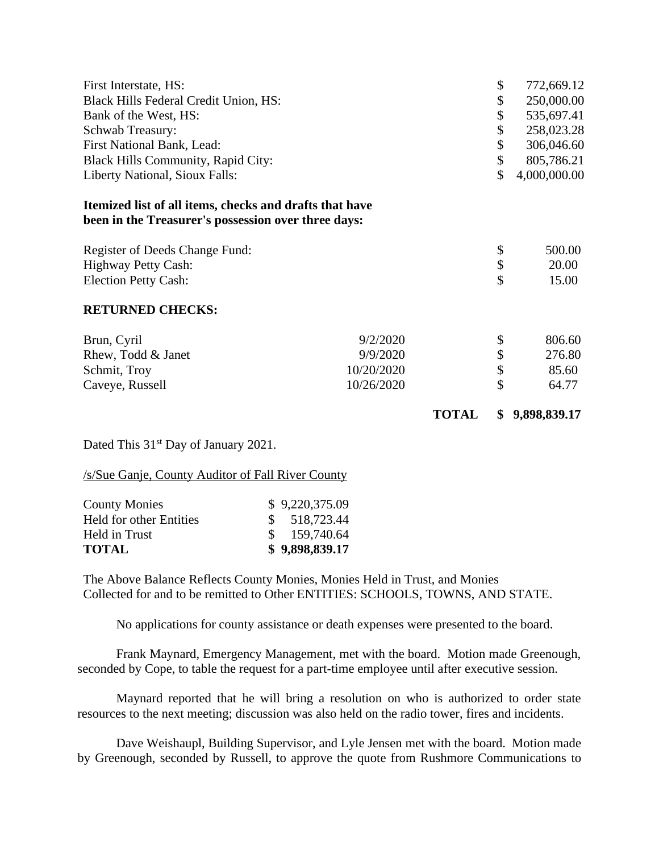| First Interstate, HS:                                   |              | \$<br>772,669.12   |
|---------------------------------------------------------|--------------|--------------------|
| Black Hills Federal Credit Union, HS:                   |              | \$<br>250,000.00   |
| Bank of the West, HS:                                   |              | \$<br>535,697.41   |
| <b>Schwab Treasury:</b>                                 |              | \$<br>258,023.28   |
| First National Bank, Lead:                              |              | \$<br>306,046.60   |
| <b>Black Hills Community, Rapid City:</b>               |              | \$<br>805,786.21   |
| Liberty National, Sioux Falls:                          |              | \$<br>4,000,000.00 |
| Itemized list of all items, checks and drafts that have |              |                    |
| been in the Treasurer's possession over three days:     |              |                    |
| Register of Deeds Change Fund:                          |              | \$<br>500.00       |
| <b>Highway Petty Cash:</b>                              |              | \$<br>20.00        |
| <b>Election Petty Cash:</b>                             |              | \$<br>15.00        |
| <b>RETURNED CHECKS:</b>                                 |              |                    |
| Brun, Cyril<br>9/2/2020                                 |              | \$<br>806.60       |
| Rhew, Todd & Janet<br>9/9/2020                          |              | \$<br>276.80       |
| 10/20/2020<br>Schmit, Troy                              |              | \$<br>85.60        |
| 10/26/2020<br>Caveye, Russell                           |              | \$<br>64.77        |
|                                                         | <b>TOTAL</b> | \$<br>9,898,839.17 |

Dated This 31<sup>st</sup> Day of January 2021.

/s/Sue Ganje, County Auditor of Fall River County

| <b>County Monies</b>           | \$9,220,375.09 |
|--------------------------------|----------------|
| <b>Held for other Entities</b> | \$518,723.44   |
| Held in Trust                  | \$159,740.64   |
| <b>TOTAL</b>                   | \$9,898,839.17 |

The Above Balance Reflects County Monies, Monies Held in Trust, and Monies Collected for and to be remitted to Other ENTITIES: SCHOOLS, TOWNS, AND STATE.

No applications for county assistance or death expenses were presented to the board.

Frank Maynard, Emergency Management, met with the board. Motion made Greenough, seconded by Cope, to table the request for a part-time employee until after executive session.

Maynard reported that he will bring a resolution on who is authorized to order state resources to the next meeting; discussion was also held on the radio tower, fires and incidents.

Dave Weishaupl, Building Supervisor, and Lyle Jensen met with the board. Motion made by Greenough, seconded by Russell, to approve the quote from Rushmore Communications to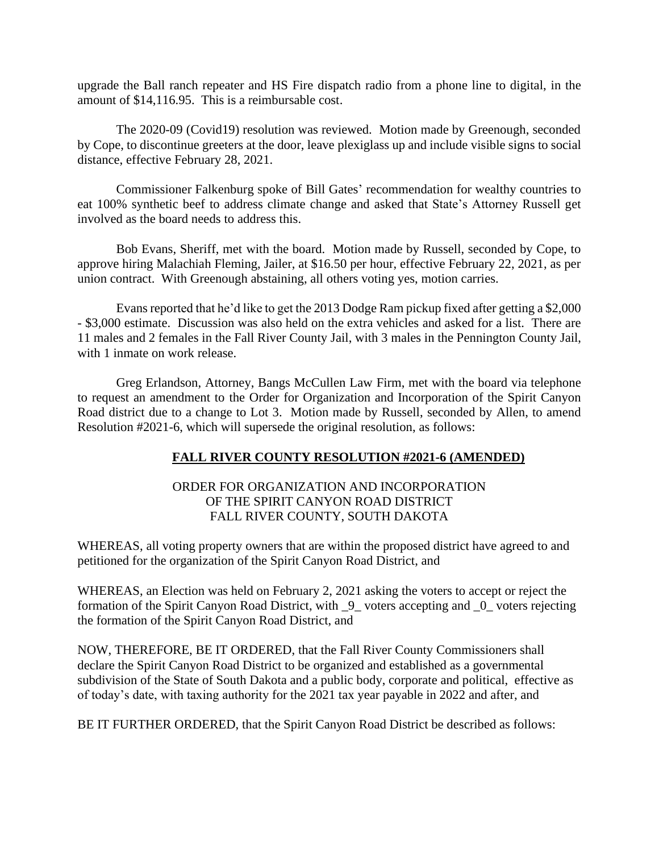upgrade the Ball ranch repeater and HS Fire dispatch radio from a phone line to digital, in the amount of \$14,116.95. This is a reimbursable cost.

The 2020-09 (Covid19) resolution was reviewed. Motion made by Greenough, seconded by Cope, to discontinue greeters at the door, leave plexiglass up and include visible signs to social distance, effective February 28, 2021.

Commissioner Falkenburg spoke of Bill Gates' recommendation for wealthy countries to eat 100% synthetic beef to address climate change and asked that State's Attorney Russell get involved as the board needs to address this.

Bob Evans, Sheriff, met with the board. Motion made by Russell, seconded by Cope, to approve hiring Malachiah Fleming, Jailer, at \$16.50 per hour, effective February 22, 2021, as per union contract. With Greenough abstaining, all others voting yes, motion carries.

Evans reported that he'd like to get the 2013 Dodge Ram pickup fixed after getting a \$2,000 - \$3,000 estimate. Discussion was also held on the extra vehicles and asked for a list. There are 11 males and 2 females in the Fall River County Jail, with 3 males in the Pennington County Jail, with 1 inmate on work release.

Greg Erlandson, Attorney, Bangs McCullen Law Firm, met with the board via telephone to request an amendment to the Order for Organization and Incorporation of the Spirit Canyon Road district due to a change to Lot 3. Motion made by Russell, seconded by Allen, to amend Resolution #2021-6, which will supersede the original resolution, as follows:

# **FALL RIVER COUNTY RESOLUTION #2021-6 (AMENDED)**

## ORDER FOR ORGANIZATION AND INCORPORATION OF THE SPIRIT CANYON ROAD DISTRICT FALL RIVER COUNTY, SOUTH DAKOTA

WHEREAS, all voting property owners that are within the proposed district have agreed to and petitioned for the organization of the Spirit Canyon Road District, and

WHEREAS, an Election was held on February 2, 2021 asking the voters to accept or reject the formation of the Spirit Canyon Road District, with \_9\_ voters accepting and \_0\_ voters rejecting the formation of the Spirit Canyon Road District, and

NOW, THEREFORE, BE IT ORDERED, that the Fall River County Commissioners shall declare the Spirit Canyon Road District to be organized and established as a governmental subdivision of the State of South Dakota and a public body, corporate and political, effective as of today's date, with taxing authority for the 2021 tax year payable in 2022 and after, and

BE IT FURTHER ORDERED, that the Spirit Canyon Road District be described as follows: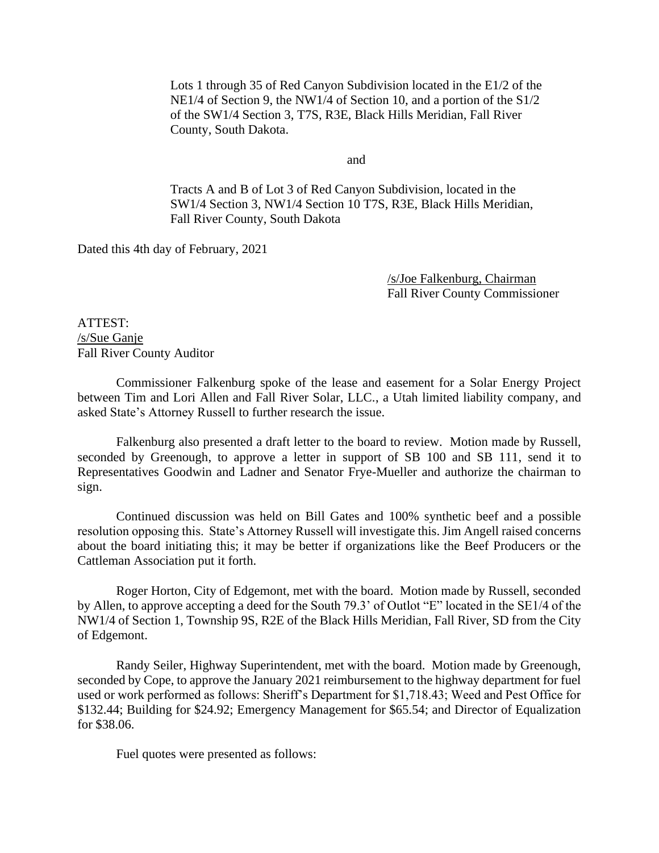Lots 1 through 35 of Red Canyon Subdivision located in the E1/2 of the NE1/4 of Section 9, the NW1/4 of Section 10, and a portion of the S1/2 of the SW1/4 Section 3, T7S, R3E, Black Hills Meridian, Fall River County, South Dakota.

and

Tracts A and B of Lot 3 of Red Canyon Subdivision, located in the SW1/4 Section 3, NW1/4 Section 10 T7S, R3E, Black Hills Meridian, Fall River County, South Dakota

Dated this 4th day of February, 2021

/s/Joe Falkenburg, Chairman Fall River County Commissioner

ATTEST: /s/Sue Ganje Fall River County Auditor

Commissioner Falkenburg spoke of the lease and easement for a Solar Energy Project between Tim and Lori Allen and Fall River Solar, LLC., a Utah limited liability company, and asked State's Attorney Russell to further research the issue.

Falkenburg also presented a draft letter to the board to review. Motion made by Russell, seconded by Greenough, to approve a letter in support of SB 100 and SB 111, send it to Representatives Goodwin and Ladner and Senator Frye-Mueller and authorize the chairman to sign.

Continued discussion was held on Bill Gates and 100% synthetic beef and a possible resolution opposing this. State's Attorney Russell will investigate this. Jim Angell raised concerns about the board initiating this; it may be better if organizations like the Beef Producers or the Cattleman Association put it forth.

Roger Horton, City of Edgemont, met with the board. Motion made by Russell, seconded by Allen, to approve accepting a deed for the South 79.3' of Outlot "E" located in the SE1/4 of the NW1/4 of Section 1, Township 9S, R2E of the Black Hills Meridian, Fall River, SD from the City of Edgemont.

Randy Seiler, Highway Superintendent, met with the board. Motion made by Greenough, seconded by Cope, to approve the January 2021 reimbursement to the highway department for fuel used or work performed as follows: Sheriff's Department for \$1,718.43; Weed and Pest Office for \$132.44; Building for \$24.92; Emergency Management for \$65.54; and Director of Equalization for \$38.06.

Fuel quotes were presented as follows: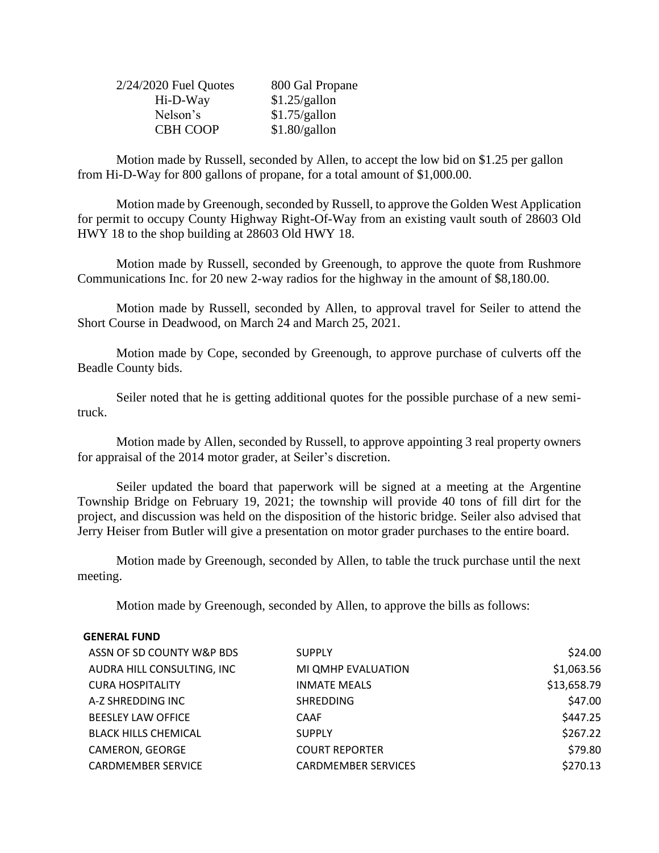| $2/24/2020$ Fuel Quotes | 800 Gal Propane |
|-------------------------|-----------------|
| Hi-D-Way                | \$1.25/gallon   |
| Nelson's                | \$1.75/gallon   |
| <b>CBH COOP</b>         | \$1.80/gallon   |

Motion made by Russell, seconded by Allen, to accept the low bid on \$1.25 per gallon from Hi-D-Way for 800 gallons of propane, for a total amount of \$1,000.00.

Motion made by Greenough, seconded by Russell, to approve the Golden West Application for permit to occupy County Highway Right-Of-Way from an existing vault south of 28603 Old HWY 18 to the shop building at 28603 Old HWY 18.

Motion made by Russell, seconded by Greenough, to approve the quote from Rushmore Communications Inc. for 20 new 2-way radios for the highway in the amount of \$8,180.00.

Motion made by Russell, seconded by Allen, to approval travel for Seiler to attend the Short Course in Deadwood, on March 24 and March 25, 2021.

Motion made by Cope, seconded by Greenough, to approve purchase of culverts off the Beadle County bids.

Seiler noted that he is getting additional quotes for the possible purchase of a new semitruck.

Motion made by Allen, seconded by Russell, to approve appointing 3 real property owners for appraisal of the 2014 motor grader, at Seiler's discretion.

Seiler updated the board that paperwork will be signed at a meeting at the Argentine Township Bridge on February 19, 2021; the township will provide 40 tons of fill dirt for the project, and discussion was held on the disposition of the historic bridge. Seiler also advised that Jerry Heiser from Butler will give a presentation on motor grader purchases to the entire board.

Motion made by Greenough, seconded by Allen, to table the truck purchase until the next meeting.

Motion made by Greenough, seconded by Allen, to approve the bills as follows:

#### **GENERAL FUND**

| ASSN OF SD COUNTY W&P BDS   | <b>SUPPLY</b>              | \$24.00     |
|-----------------------------|----------------------------|-------------|
| AUDRA HILL CONSULTING, INC  | MI QMHP EVALUATION         | \$1,063.56  |
| <b>CURA HOSPITALITY</b>     | <b>INMATE MEALS</b>        | \$13,658.79 |
| A-Z SHREDDING INC           | <b>SHREDDING</b>           | \$47.00     |
| <b>BEESLEY LAW OFFICE</b>   | CAAF                       | \$447.25    |
| <b>BLACK HILLS CHEMICAL</b> | <b>SUPPLY</b>              | \$267.22    |
| CAMERON, GEORGE             | <b>COURT REPORTER</b>      | \$79.80     |
| <b>CARDMEMBER SERVICE</b>   | <b>CARDMEMBER SERVICES</b> | \$270.13    |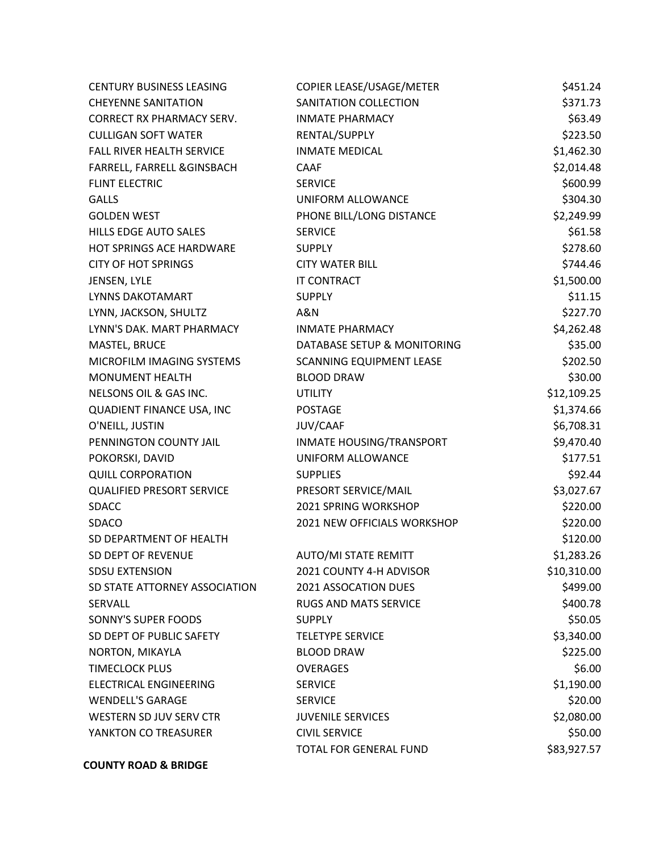| <b>CENTURY BUSINESS LEASING</b>  | COPIER LEASE/USAGE/METER        | \$451.24    |
|----------------------------------|---------------------------------|-------------|
| <b>CHEYENNE SANITATION</b>       | SANITATION COLLECTION           | \$371.73    |
| <b>CORRECT RX PHARMACY SERV.</b> | <b>INMATE PHARMACY</b>          | \$63.49     |
| <b>CULLIGAN SOFT WATER</b>       | RENTAL/SUPPLY                   | \$223.50    |
| FALL RIVER HEALTH SERVICE        | <b>INMATE MEDICAL</b>           | \$1,462.30  |
| FARRELL, FARRELL & GINSBACH      | <b>CAAF</b>                     | \$2,014.48  |
| <b>FLINT ELECTRIC</b>            | <b>SERVICE</b>                  | \$600.99    |
| <b>GALLS</b>                     | UNIFORM ALLOWANCE               | \$304.30    |
| <b>GOLDEN WEST</b>               | PHONE BILL/LONG DISTANCE        | \$2,249.99  |
| <b>HILLS EDGE AUTO SALES</b>     | <b>SERVICE</b>                  | \$61.58     |
| HOT SPRINGS ACE HARDWARE         | <b>SUPPLY</b>                   | \$278.60    |
| <b>CITY OF HOT SPRINGS</b>       | <b>CITY WATER BILL</b>          | \$744.46    |
| JENSEN, LYLE                     | IT CONTRACT                     | \$1,500.00  |
| <b>LYNNS DAKOTAMART</b>          | <b>SUPPLY</b>                   | \$11.15     |
| LYNN, JACKSON, SHULTZ            | A&N                             | \$227.70    |
| LYNN'S DAK. MART PHARMACY        | <b>INMATE PHARMACY</b>          | \$4,262.48  |
| MASTEL, BRUCE                    | DATABASE SETUP & MONITORING     | \$35.00     |
| MICROFILM IMAGING SYSTEMS        | SCANNING EQUIPMENT LEASE        | \$202.50    |
| <b>MONUMENT HEALTH</b>           | <b>BLOOD DRAW</b>               | \$30.00     |
| NELSONS OIL & GAS INC.           | <b>UTILITY</b>                  | \$12,109.25 |
| QUADIENT FINANCE USA, INC        | <b>POSTAGE</b>                  | \$1,374.66  |
| O'NEILL, JUSTIN                  | JUV/CAAF                        | \$6,708.31  |
| PENNINGTON COUNTY JAIL           | <b>INMATE HOUSING/TRANSPORT</b> | \$9,470.40  |
| POKORSKI, DAVID                  | UNIFORM ALLOWANCE               | \$177.51    |
| <b>QUILL CORPORATION</b>         | <b>SUPPLIES</b>                 | \$92.44     |
| <b>QUALIFIED PRESORT SERVICE</b> | PRESORT SERVICE/MAIL            | \$3,027.67  |
| <b>SDACC</b>                     | 2021 SPRING WORKSHOP            | \$220.00    |
| SDACO                            | 2021 NEW OFFICIALS WORKSHOP     | \$220.00    |
| SD DEPARTMENT OF HEALTH          |                                 | \$120.00    |
| SD DEPT OF REVENUE               | <b>AUTO/MI STATE REMITT</b>     | \$1,283.26  |
| <b>SDSU EXTENSION</b>            | 2021 COUNTY 4-H ADVISOR         | \$10,310.00 |
| SD STATE ATTORNEY ASSOCIATION    | 2021 ASSOCATION DUES            | \$499.00    |
| <b>SERVALL</b>                   | <b>RUGS AND MATS SERVICE</b>    | \$400.78    |
| SONNY'S SUPER FOODS              | <b>SUPPLY</b>                   | \$50.05     |
| SD DEPT OF PUBLIC SAFETY         | <b>TELETYPE SERVICE</b>         | \$3,340.00  |
| NORTON, MIKAYLA                  | <b>BLOOD DRAW</b>               | \$225.00    |
| <b>TIMECLOCK PLUS</b>            | <b>OVERAGES</b>                 | \$6.00      |
| ELECTRICAL ENGINEERING           | <b>SERVICE</b>                  | \$1,190.00  |
| <b>WENDELL'S GARAGE</b>          | <b>SERVICE</b>                  | \$20.00     |
| WESTERN SD JUV SERV CTR          | <b>JUVENILE SERVICES</b>        | \$2,080.00  |
| YANKTON CO TREASURER             | <b>CIVIL SERVICE</b>            | \$50.00     |
|                                  | TOTAL FOR GENERAL FUND          | \$83,927.57 |

**COUNTY ROAD & BRIDGE**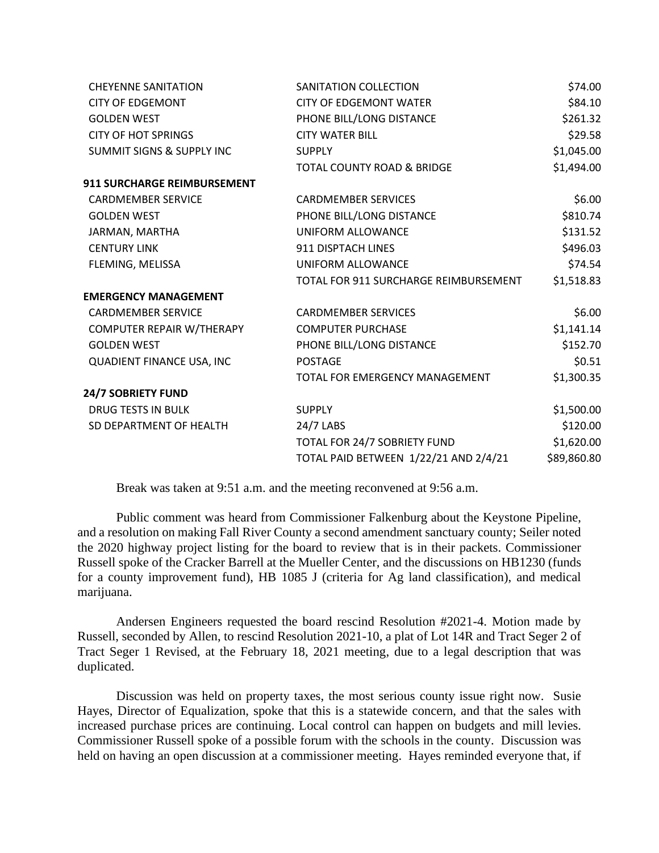| <b>CHEYENNE SANITATION</b>           | SANITATION COLLECTION                 | \$74.00     |
|--------------------------------------|---------------------------------------|-------------|
| <b>CITY OF EDGEMONT</b>              | <b>CITY OF EDGEMONT WATER</b>         | \$84.10     |
| <b>GOLDEN WEST</b>                   | PHONE BILL/LONG DISTANCE              | \$261.32    |
| <b>CITY OF HOT SPRINGS</b>           | <b>CITY WATER BILL</b>                | \$29.58     |
| <b>SUMMIT SIGNS &amp; SUPPLY INC</b> | <b>SUPPLY</b>                         | \$1,045.00  |
|                                      | TOTAL COUNTY ROAD & BRIDGE            | \$1,494.00  |
| <b>911 SURCHARGE REIMBURSEMENT</b>   |                                       |             |
| <b>CARDMEMBER SERVICE</b>            | <b>CARDMEMBER SERVICES</b>            | \$6.00      |
| <b>GOLDEN WEST</b>                   | PHONE BILL/LONG DISTANCE              | \$810.74    |
| JARMAN, MARTHA                       | UNIFORM ALLOWANCE                     | \$131.52    |
| <b>CENTURY LINK</b>                  | 911 DISPTACH LINES                    | \$496.03    |
| FLEMING, MELISSA                     | UNIFORM ALLOWANCE                     | \$74.54     |
|                                      | TOTAL FOR 911 SURCHARGE REIMBURSEMENT | \$1,518.83  |
| <b>EMERGENCY MANAGEMENT</b>          |                                       |             |
| <b>CARDMEMBER SERVICE</b>            | <b>CARDMEMBER SERVICES</b>            | \$6.00      |
| COMPUTER REPAIR W/THERAPY            | <b>COMPUTER PURCHASE</b>              | \$1,141.14  |
| <b>GOLDEN WEST</b>                   | PHONE BILL/LONG DISTANCE              | \$152.70    |
| QUADIENT FINANCE USA, INC            | <b>POSTAGE</b>                        | \$0.51      |
|                                      | TOTAL FOR EMERGENCY MANAGEMENT        | \$1,300.35  |
| 24/7 SOBRIETY FUND                   |                                       |             |
| <b>DRUG TESTS IN BULK</b>            | <b>SUPPLY</b>                         | \$1,500.00  |
| SD DEPARTMENT OF HEALTH              | 24/7 LABS                             | \$120.00    |
|                                      | TOTAL FOR 24/7 SOBRIETY FUND          | \$1,620.00  |
|                                      | TOTAL PAID BETWEEN 1/22/21 AND 2/4/21 | \$89,860.80 |

Break was taken at 9:51 a.m. and the meeting reconvened at 9:56 a.m.

Public comment was heard from Commissioner Falkenburg about the Keystone Pipeline, and a resolution on making Fall River County a second amendment sanctuary county; Seiler noted the 2020 highway project listing for the board to review that is in their packets. Commissioner Russell spoke of the Cracker Barrell at the Mueller Center, and the discussions on HB1230 (funds for a county improvement fund), HB 1085 J (criteria for Ag land classification), and medical marijuana.

Andersen Engineers requested the board rescind Resolution #2021-4. Motion made by Russell, seconded by Allen, to rescind Resolution 2021-10, a plat of Lot 14R and Tract Seger 2 of Tract Seger 1 Revised, at the February 18, 2021 meeting, due to a legal description that was duplicated.

Discussion was held on property taxes, the most serious county issue right now. Susie Hayes, Director of Equalization, spoke that this is a statewide concern, and that the sales with increased purchase prices are continuing. Local control can happen on budgets and mill levies. Commissioner Russell spoke of a possible forum with the schools in the county. Discussion was held on having an open discussion at a commissioner meeting. Hayes reminded everyone that, if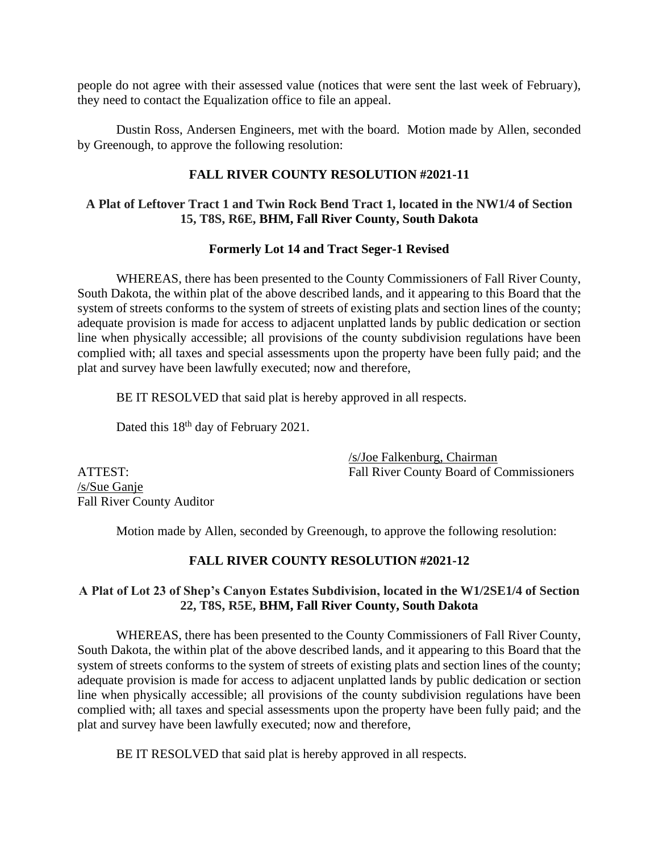people do not agree with their assessed value (notices that were sent the last week of February), they need to contact the Equalization office to file an appeal.

Dustin Ross, Andersen Engineers, met with the board. Motion made by Allen, seconded by Greenough, to approve the following resolution:

## **FALL RIVER COUNTY RESOLUTION #2021-11**

## **A Plat of Leftover Tract 1 and Twin Rock Bend Tract 1, located in the NW1/4 of Section 15, T8S, R6E, BHM, Fall River County, South Dakota**

## **Formerly Lot 14 and Tract Seger-1 Revised**

WHEREAS, there has been presented to the County Commissioners of Fall River County, South Dakota, the within plat of the above described lands, and it appearing to this Board that the system of streets conforms to the system of streets of existing plats and section lines of the county; adequate provision is made for access to adjacent unplatted lands by public dedication or section line when physically accessible; all provisions of the county subdivision regulations have been complied with; all taxes and special assessments upon the property have been fully paid; and the plat and survey have been lawfully executed; now and therefore,

BE IT RESOLVED that said plat is hereby approved in all respects.

Dated this 18<sup>th</sup> day of February 2021.

/s/Joe Falkenburg, Chairman ATTEST: Fall River County Board of Commissioners

/s/Sue Ganje Fall River County Auditor

Motion made by Allen, seconded by Greenough, to approve the following resolution:

## **FALL RIVER COUNTY RESOLUTION #2021-12**

## **A Plat of Lot 23 of Shep's Canyon Estates Subdivision, located in the W1/2SE1/4 of Section 22, T8S, R5E, BHM, Fall River County, South Dakota**

WHEREAS, there has been presented to the County Commissioners of Fall River County, South Dakota, the within plat of the above described lands, and it appearing to this Board that the system of streets conforms to the system of streets of existing plats and section lines of the county; adequate provision is made for access to adjacent unplatted lands by public dedication or section line when physically accessible; all provisions of the county subdivision regulations have been complied with; all taxes and special assessments upon the property have been fully paid; and the plat and survey have been lawfully executed; now and therefore,

BE IT RESOLVED that said plat is hereby approved in all respects.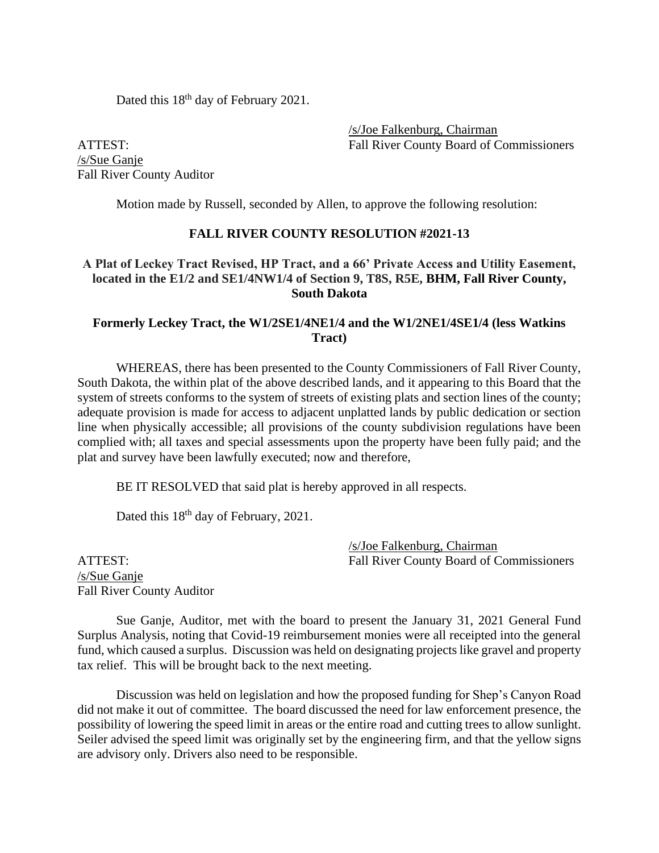Dated this 18<sup>th</sup> day of February 2021.

/s/Joe Falkenburg, Chairman ATTEST: Fall River County Board of Commissioners

/s/Sue Ganje Fall River County Auditor

Motion made by Russell, seconded by Allen, to approve the following resolution:

#### **FALL RIVER COUNTY RESOLUTION #2021-13**

## **A Plat of Leckey Tract Revised, HP Tract, and a 66' Private Access and Utility Easement, located in the E1/2 and SE1/4NW1/4 of Section 9, T8S, R5E, BHM, Fall River County, South Dakota**

### **Formerly Leckey Tract, the W1/2SE1/4NE1/4 and the W1/2NE1/4SE1/4 (less Watkins Tract)**

WHEREAS, there has been presented to the County Commissioners of Fall River County, South Dakota, the within plat of the above described lands, and it appearing to this Board that the system of streets conforms to the system of streets of existing plats and section lines of the county; adequate provision is made for access to adjacent unplatted lands by public dedication or section line when physically accessible; all provisions of the county subdivision regulations have been complied with; all taxes and special assessments upon the property have been fully paid; and the plat and survey have been lawfully executed; now and therefore,

BE IT RESOLVED that said plat is hereby approved in all respects.

Dated this  $18<sup>th</sup>$  day of February, 2021.

/s/Joe Falkenburg, Chairman ATTEST: Fall River County Board of Commissioners

/s/Sue Ganje Fall River County Auditor

Sue Ganje, Auditor, met with the board to present the January 31, 2021 General Fund Surplus Analysis, noting that Covid-19 reimbursement monies were all receipted into the general fund, which caused a surplus. Discussion was held on designating projects like gravel and property tax relief. This will be brought back to the next meeting.

Discussion was held on legislation and how the proposed funding for Shep's Canyon Road did not make it out of committee. The board discussed the need for law enforcement presence, the possibility of lowering the speed limit in areas or the entire road and cutting trees to allow sunlight. Seiler advised the speed limit was originally set by the engineering firm, and that the yellow signs are advisory only. Drivers also need to be responsible.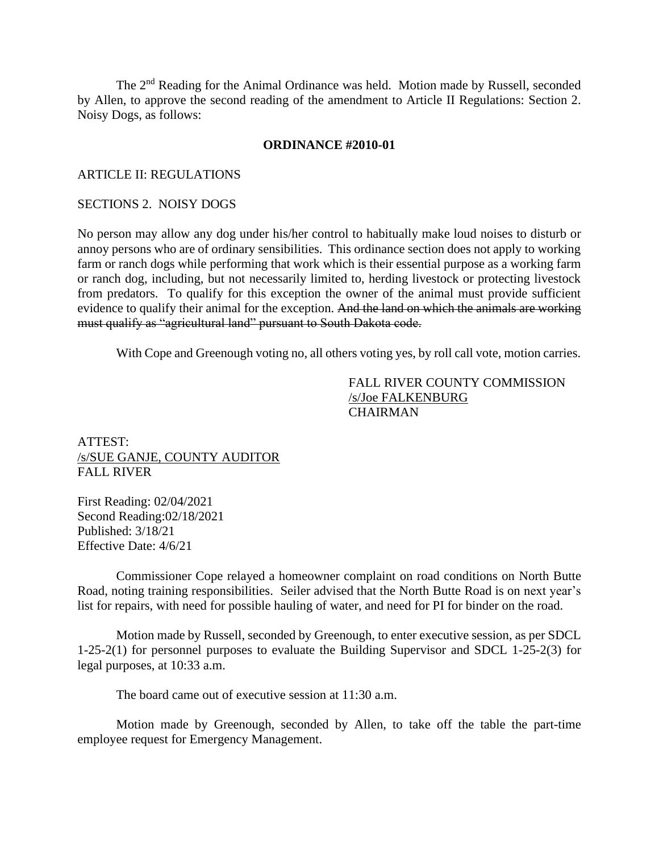The 2<sup>nd</sup> Reading for the Animal Ordinance was held. Motion made by Russell, seconded by Allen, to approve the second reading of the amendment to Article II Regulations: Section 2. Noisy Dogs, as follows:

#### **ORDINANCE #2010-01**

#### ARTICLE II: REGULATIONS

#### SECTIONS 2. NOISY DOGS

No person may allow any dog under his/her control to habitually make loud noises to disturb or annoy persons who are of ordinary sensibilities. This ordinance section does not apply to working farm or ranch dogs while performing that work which is their essential purpose as a working farm or ranch dog, including, but not necessarily limited to, herding livestock or protecting livestock from predators. To qualify for this exception the owner of the animal must provide sufficient evidence to qualify their animal for the exception. And the land on which the animals are working must qualify as "agricultural land" pursuant to South Dakota code.

With Cope and Greenough voting no, all others voting yes, by roll call vote, motion carries.

FALL RIVER COUNTY COMMISSION /s/Joe FALKENBURG **CHAIRMAN** 

#### ATTEST: /s/SUE GANJE, COUNTY AUDITOR FALL RIVER

First Reading: 02/04/2021 Second Reading:02/18/2021 Published: 3/18/21 Effective Date: 4/6/21

Commissioner Cope relayed a homeowner complaint on road conditions on North Butte Road, noting training responsibilities. Seiler advised that the North Butte Road is on next year's list for repairs, with need for possible hauling of water, and need for PI for binder on the road.

Motion made by Russell, seconded by Greenough, to enter executive session, as per SDCL 1-25-2(1) for personnel purposes to evaluate the Building Supervisor and SDCL 1-25-2(3) for legal purposes, at 10:33 a.m.

The board came out of executive session at 11:30 a.m.

Motion made by Greenough, seconded by Allen, to take off the table the part-time employee request for Emergency Management.